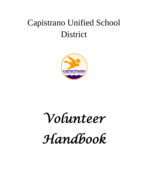## Capistrano Unified School District



## *Volunteer*

# *Handbook*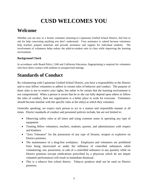## **CUSD WELCOMES YOU**

## **Welcome**

Whether you are new or a former volunteer returning to Capistrano Unified School District, feel free to ask for help concerning anything you don't understand. Your assistance is valued because volunteers help teachers prepare materials and provide assistance and support for individual students. The involvement of volunteers helps reduce the adult-to-student ratio in class while improving the learning environment.

## **Background Check**

In accordance with Board Policy 1240 and California Education, fingerprinting is required for volunteers who have direct contact with students in unsupervised settings.

## **Standards of Conduct**

By volunteering with Capistrano Unified School District, you have a responsibility to the District and to your fellow volunteers to adhere to certain rules of behavior and conduct. The purpose of these rules is not to restrict your rights, but rather to be certain that the learning environment is not compromised. When a person is aware that he or she can fully depend upon others to follow the rules of conduct, then our organization is a better place to work for everyone. Volunteers should become familiar with the specific rules at the site(s) at which they volunteer.

Generally speaking, we expect each person to act in a mature and responsible manner at all times. District standards of conduct and personnel policies include, but are not limited to:

- Observing safety rules at all times and using common sense in operating any type of equipment
- Treating fellow volunteers, teachers, students, parents, and administrators with respect and kindness
- "Zero Tolerance" for the possession of any type of firearm, weapon or explosive on District premises.
- The maintenance of a drug-free workplace. Employees and volunteers are prohibited from being intoxicated or under the influence of controlled substances while volunteering; use, possession, or sale of a controlled substance in any quantity while on District premises (except medications prescribed by a physician which do not impair volunteer performance) will result in immediate dismissal.
- This is a tobacco free school district. Tobacco products shall not be used on District premises.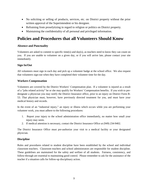- No soliciting or selling of products, services, etc. on District property without the prior written approval of the Superintendent or his designee.
- Refraining from proselytizing in regard to religion or politics on District property.
- Maintaining the confidentiality of all personal and privileged information.

## **Policies and Procedures that all Volunteers Should Know**

## **Absence and Punctuality**

Volunteers are asked to commit to specific time(s) and day(s), as teachers need to know they can count on you. If you are unable to volunteer on a given day, or if you will arrive late, please contact your site immediately.

## **Sign In/Out**

All volunteers must sign in each day and pick up a volunteer badge at the school office. We also request that volunteers sign-out when they have completed their volunteer time for the day.

## **Workers Compensation**

Volunteers are covered by the District Workers' Compensation plan. If a volunteer is injured as a result of a "jobs related activity" he or she may qualify for Workers' Compensation benefits. If you wish to predesignate a physician you may notify the District Insurance office, prior to an injury on District Form B-53. That physician must, however, have previously directed treatment for you, and must have your medical history and records.

In the event of an "industrial injury," an injury or illness which occurs while you are performing your volunteer work, you must adhere to the following procedures:

- 1. Report your injury to the school administration office immediately, no matter how small your injury may seem.
- 2. If medical attention is necessary, contact the District Insurance Office at (949) 234-9402.

The District Insurance Office must pre-authorize your visit to a medical facility or your designated physician.

## **Discipline**

Rules and procedures related to student discipline have been established by the school and individual classroom teachers. Classroom teachers and school administrators are responsible for student discipline. These guidelines are maintained for the safety and welfare of all students. Fairness, consistency, and follow-through are essential to maintaining good control. Please remember to ask for the assistance of the teacher if a situation calls for follow-up disciplinary action.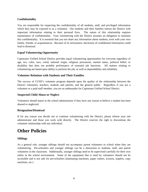## **Confidentiality**

You are responsible for respecting the confidentiality of all students, staff, and privileged information which they may be exposed to as a volunteer. Our students and their families entrust the District with important information relating to their personal lives. The nature of this relationship requires maintenance of confidentiality. Your volunteering with the District assumes an obligation to maintain this confidentiality. It is essential that you not share any information about students, even with your own family, friends, or acquaintances. Because of its seriousness, disclosure of confidential information could lead to dismissal.

## **Equal Volunteering Opportunity**

Capistrano Unified School District provides equal volunteering opportunities for everyone regardless of age, sex, color, race, creed, national origin, religious persuasion, marital status, political belief, or disability that does not prohibit performance of essential job functions. All matters relating to volunteering are based upon ability to perform the job, as well as dependability and reliability.

## **Volunteer Relations with Students and Their Families**

The success of CUSD's volunteer program depends upon the quality of the relationship between the District volunteers, teachers, students and parents, and the general public. Regardless if you are a volunteer or a paid staff member, you are an ambassador for Capistrano Unified School District.

#### **Suspected Child Abuse or Neglect**

Volunteers should report to the school administrator if they have any reason to believe a student has been abused or neglected.

#### **Resignation/Dismissal**

If for any reason you decide not to continue volunteering with the District, please inform your site administrator and those you work with directly. The District reserves the right to discontinue the volunteer relationship with any individual.

## **Other Policies**

## **Siblings**

As a general rule, younger siblings should not accompany parent volunteers to school when they are volunteering. Pre-schoolers and younger siblings can be a distraction to students, staff, and parent volunteers in the classroom. Additionally, younger siblings need to be supervised carefully for their own safety in the school environment. Some of the equipment that is used by volunteers should not be accessible and is not safe for pre-schoolers (laminating machines, paper cutters, scissors, staplers, copy machines, etc.)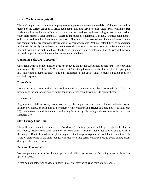## **Office Machines (Copyright)**

The staff appreciates volunteers helping teachers prepare classroom materials. Volunteers should be trained on the correct usage of all office equipment. It is also very helpful if volunteers are willing to step aside and allow teachers or office staff to interrupt them and use machines during recess or on occasions when staff members need immediate access to machines or equipment at school. District equipment is only to be used for educational/school purposes. They are not for personal use. Parent volunteers should use computers that are located in classrooms or teacher workrooms. Volunteer flexibility and cooperation in this area is greatly appreciated. All volunteers shall adhere to the provisions of the federal copyright law and maintain the highest ethical standards in using copyrighted materials. The District shall provide no legal support to any volunteer who violates copyright laws.

## **Computer Software (Copyright)**

Capistrano Unified School District does not condone the illegal duplication of software. The copyright law is clear. Title 17 of the U.S. Code states that, "It is illegal to make or distribute copies of copyrighted materials without authorization." The only exception is the users' right to make a backup copy for archival purposes.

## **Dress Code**

Volunteers are expected to dress in accordance with accepted social and business standards. If you are unsure as to the appropriateness of particular attire, please consult with the site administrator.

#### **Grievances**

A grievance is defined as any event, condition, rule, or practice which the volunteer believes violates his/her civil rights, or treats him or her unfairly while volunteering. (Refer to Board Policy 1312.3, page 23) Volunteers should attempt to resolve a grievance by discussing their concern with the school administrator.

#### **Staff Lounge Guidelines**

The staff lounge should not be used as a "workroom". Cutting, pasting, collating, etc. should be done in classrooms, teacher workrooms, or the office workrooms. Teachers should not send parents to work in the lounge. Due to limited space, please inquire if the lounge refrigerator is available to volunteers. To avoid overcrowding in the staff lounge, it is requested that parent volunteers try to avoid taking breaks during teacher lunch times.

## **Personal Phone Calls**

You are permitted to use the phone to place local calls when necessary. Incoming urgent calls will be directed to you.

Please do not photograph or video students unless you have permission from site personnel.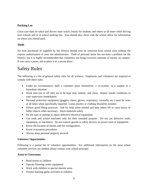## **Parking Lot**

Great care must be taken and drivers must watch closely for students and others at all times when driving near schools and or in school parking lots. You should also check with the school office for information on where you should park.

## **Theft**

No item purchased or supplied by the District should ever be removed from school sites without the express authorization of your site administrator. Theft of personal items has not been a problem for the District, but it is highly recommended that volunteers not bring excessive amounts of money on campus. If you carry a purse, ask to place it in a secure place.

## Safety Rules

The following is a list of general safety rules for all workers. Employees and volunteers are required to comply with these rules.

- Under no circumstances shall a volunteer place themselves, a co-worker, or a student in a hazardous situation.
- Work area (on or off site) are to be kept neat, orderly, and clean. Report unsafe conditions to your supervisor immediately.
- Personal protective equipment (goggles, shoes, gloves, respirators, coveralls, etc.) must be worn at all times when specifically required. Loose jewelry or clothing should be avoided.
- Follow good lifting practices. Ask for help when needed and help others lift or carry heavy or bulky objects when necessary. Stack materials safely.
- Do not start or attempt to repair defective electrical equipment.
- Use tools and school machines only for their intended purpose. Do not use defective tools, equipment, or machinery. Do not remove guards or safety devices on power tools or equipment.
- Know the location of alarms and fire extinguishers.
- Know evacuation procedures
- Always keep personal property secured.

## **Volunteer Opportunities**

Following is a partial list of volunteer opportunities. For additional information on the areas where volunteer services are needed, please contact your school principal.

## **Assist in Classrooms**

- Read stories to children
- Operate listening center equipment
- Work with children in special interest areas
- Present learning game activities to children